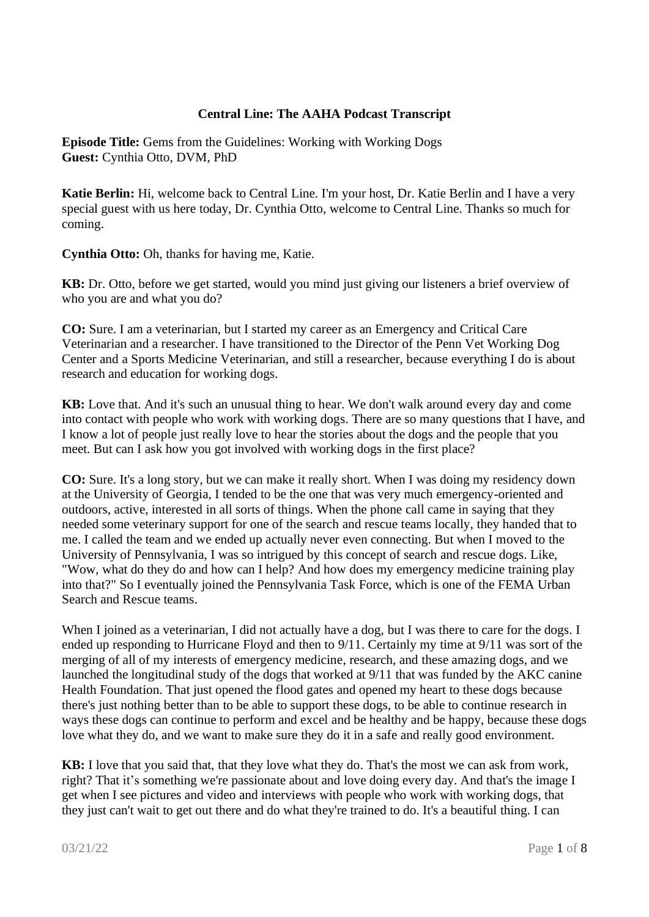## **Central Line: The AAHA Podcast Transcript**

**Episode Title:** Gems from the Guidelines: Working with Working Dogs **Guest:** Cynthia Otto, DVM, PhD

**Katie Berlin:** Hi, welcome back to Central Line. I'm your host, Dr. Katie Berlin and I have a very special guest with us here today, Dr. Cynthia Otto, welcome to Central Line. Thanks so much for coming.

**Cynthia Otto:** Oh, thanks for having me, Katie.

**KB:** Dr. Otto, before we get started, would you mind just giving our listeners a brief overview of who you are and what you do?

**CO:** Sure. I am a veterinarian, but I started my career as an Emergency and Critical Care Veterinarian and a researcher. I have transitioned to the Director of the Penn Vet Working Dog Center and a Sports Medicine Veterinarian, and still a researcher, because everything I do is about research and education for working dogs.

**KB:** Love that. And it's such an unusual thing to hear. We don't walk around every day and come into contact with people who work with working dogs. There are so many questions that I have, and I know a lot of people just really love to hear the stories about the dogs and the people that you meet. But can I ask how you got involved with working dogs in the first place?

**CO:** Sure. It's a long story, but we can make it really short. When I was doing my residency down at the University of Georgia, I tended to be the one that was very much emergency-oriented and outdoors, active, interested in all sorts of things. When the phone call came in saying that they needed some veterinary support for one of the search and rescue teams locally, they handed that to me. I called the team and we ended up actually never even connecting. But when I moved to the University of Pennsylvania, I was so intrigued by this concept of search and rescue dogs. Like, "Wow, what do they do and how can I help? And how does my emergency medicine training play into that?" So I eventually joined the Pennsylvania Task Force, which is one of the FEMA Urban Search and Rescue teams.

When I joined as a veterinarian, I did not actually have a dog, but I was there to care for the dogs. I ended up responding to Hurricane Floyd and then to 9/11. Certainly my time at 9/11 was sort of the merging of all of my interests of emergency medicine, research, and these amazing dogs, and we launched the longitudinal study of the dogs that worked at 9/11 that was funded by the AKC canine Health Foundation. That just opened the flood gates and opened my heart to these dogs because there's just nothing better than to be able to support these dogs, to be able to continue research in ways these dogs can continue to perform and excel and be healthy and be happy, because these dogs love what they do, and we want to make sure they do it in a safe and really good environment.

**KB:** I love that you said that, that they love what they do. That's the most we can ask from work, right? That it's something we're passionate about and love doing every day. And that's the image I get when I see pictures and video and interviews with people who work with working dogs, that they just can't wait to get out there and do what they're trained to do. It's a beautiful thing. I can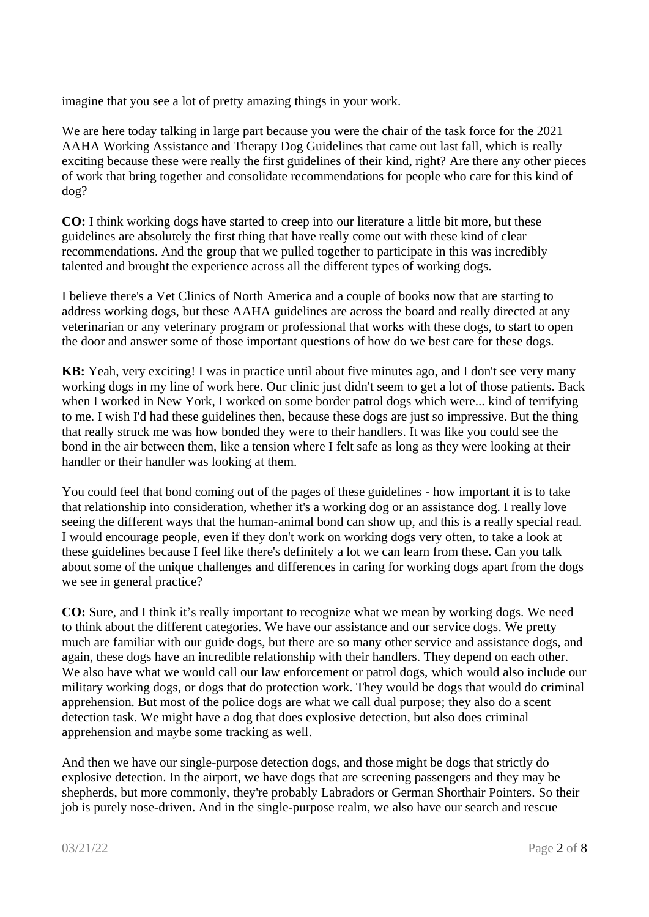imagine that you see a lot of pretty amazing things in your work.

We are here today talking in large part because you were the chair of the task force for the 2021 AAHA Working Assistance and Therapy Dog Guidelines that came out last fall, which is really exciting because these were really the first guidelines of their kind, right? Are there any other pieces of work that bring together and consolidate recommendations for people who care for this kind of dog?

**CO:** I think working dogs have started to creep into our literature a little bit more, but these guidelines are absolutely the first thing that have really come out with these kind of clear recommendations. And the group that we pulled together to participate in this was incredibly talented and brought the experience across all the different types of working dogs.

I believe there's a Vet Clinics of North America and a couple of books now that are starting to address working dogs, but these AAHA guidelines are across the board and really directed at any veterinarian or any veterinary program or professional that works with these dogs, to start to open the door and answer some of those important questions of how do we best care for these dogs.

**KB:** Yeah, very exciting! I was in practice until about five minutes ago, and I don't see very many working dogs in my line of work here. Our clinic just didn't seem to get a lot of those patients. Back when I worked in New York, I worked on some border patrol dogs which were... kind of terrifying to me. I wish I'd had these guidelines then, because these dogs are just so impressive. But the thing that really struck me was how bonded they were to their handlers. It was like you could see the bond in the air between them, like a tension where I felt safe as long as they were looking at their handler or their handler was looking at them.

You could feel that bond coming out of the pages of these guidelines - how important it is to take that relationship into consideration, whether it's a working dog or an assistance dog. I really love seeing the different ways that the human-animal bond can show up, and this is a really special read. I would encourage people, even if they don't work on working dogs very often, to take a look at these guidelines because I feel like there's definitely a lot we can learn from these. Can you talk about some of the unique challenges and differences in caring for working dogs apart from the dogs we see in general practice?

**CO:** Sure, and I think it's really important to recognize what we mean by working dogs. We need to think about the different categories. We have our assistance and our service dogs. We pretty much are familiar with our guide dogs, but there are so many other service and assistance dogs, and again, these dogs have an incredible relationship with their handlers. They depend on each other. We also have what we would call our law enforcement or patrol dogs, which would also include our military working dogs, or dogs that do protection work. They would be dogs that would do criminal apprehension. But most of the police dogs are what we call dual purpose; they also do a scent detection task. We might have a dog that does explosive detection, but also does criminal apprehension and maybe some tracking as well.

And then we have our single-purpose detection dogs, and those might be dogs that strictly do explosive detection. In the airport, we have dogs that are screening passengers and they may be shepherds, but more commonly, they're probably Labradors or German Shorthair Pointers. So their job is purely nose-driven. And in the single-purpose realm, we also have our search and rescue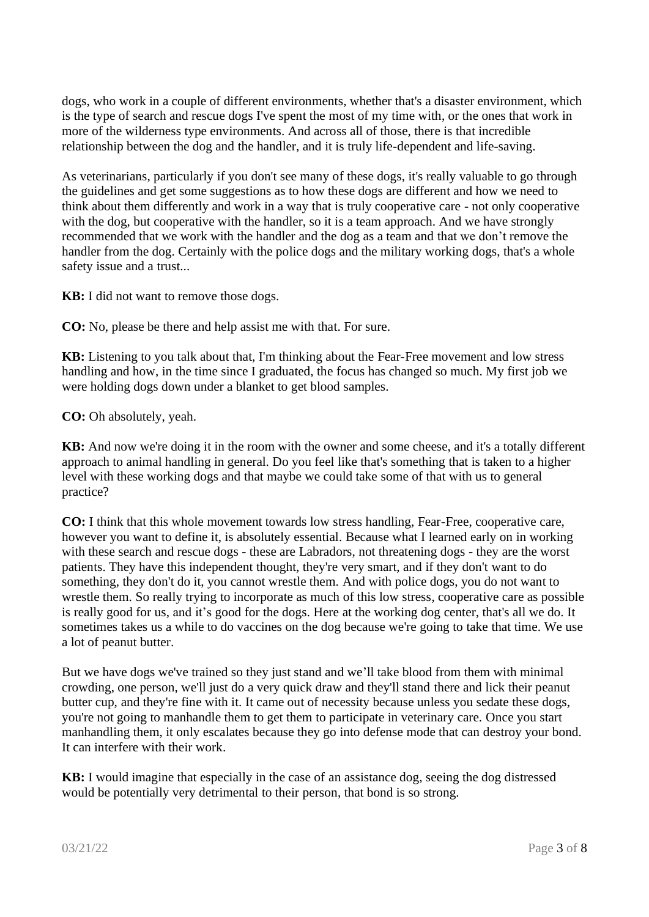dogs, who work in a couple of different environments, whether that's a disaster environment, which is the type of search and rescue dogs I've spent the most of my time with, or the ones that work in more of the wilderness type environments. And across all of those, there is that incredible relationship between the dog and the handler, and it is truly life-dependent and life-saving.

As veterinarians, particularly if you don't see many of these dogs, it's really valuable to go through the guidelines and get some suggestions as to how these dogs are different and how we need to think about them differently and work in a way that is truly cooperative care - not only cooperative with the dog, but cooperative with the handler, so it is a team approach. And we have strongly recommended that we work with the handler and the dog as a team and that we don't remove the handler from the dog. Certainly with the police dogs and the military working dogs, that's a whole safety issue and a trust...

**KB:** I did not want to remove those dogs.

**CO:** No, please be there and help assist me with that. For sure.

**KB:** Listening to you talk about that, I'm thinking about the Fear-Free movement and low stress handling and how, in the time since I graduated, the focus has changed so much. My first job we were holding dogs down under a blanket to get blood samples.

**CO:** Oh absolutely, yeah.

**KB:** And now we're doing it in the room with the owner and some cheese, and it's a totally different approach to animal handling in general. Do you feel like that's something that is taken to a higher level with these working dogs and that maybe we could take some of that with us to general practice?

**CO:** I think that this whole movement towards low stress handling, Fear-Free, cooperative care, however you want to define it, is absolutely essential. Because what I learned early on in working with these search and rescue dogs - these are Labradors, not threatening dogs - they are the worst patients. They have this independent thought, they're very smart, and if they don't want to do something, they don't do it, you cannot wrestle them. And with police dogs, you do not want to wrestle them. So really trying to incorporate as much of this low stress, cooperative care as possible is really good for us, and it's good for the dogs. Here at the working dog center, that's all we do. It sometimes takes us a while to do vaccines on the dog because we're going to take that time. We use a lot of peanut butter.

But we have dogs we've trained so they just stand and we'll take blood from them with minimal crowding, one person, we'll just do a very quick draw and they'll stand there and lick their peanut butter cup, and they're fine with it. It came out of necessity because unless you sedate these dogs, you're not going to manhandle them to get them to participate in veterinary care. Once you start manhandling them, it only escalates because they go into defense mode that can destroy your bond. It can interfere with their work.

**KB:** I would imagine that especially in the case of an assistance dog, seeing the dog distressed would be potentially very detrimental to their person, that bond is so strong.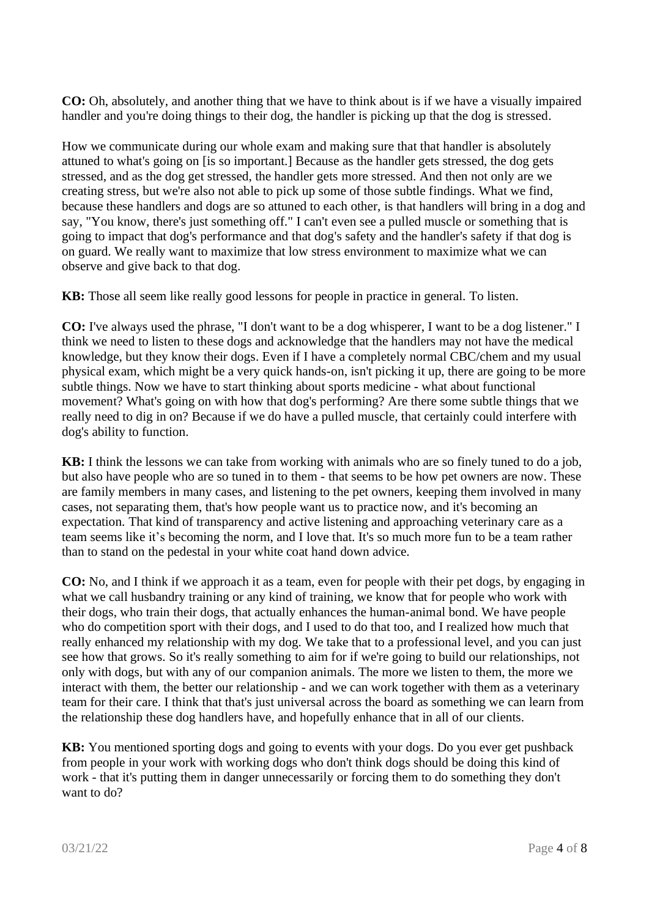**CO:** Oh, absolutely, and another thing that we have to think about is if we have a visually impaired handler and you're doing things to their dog, the handler is picking up that the dog is stressed.

How we communicate during our whole exam and making sure that that handler is absolutely attuned to what's going on [is so important.] Because as the handler gets stressed, the dog gets stressed, and as the dog get stressed, the handler gets more stressed. And then not only are we creating stress, but we're also not able to pick up some of those subtle findings. What we find, because these handlers and dogs are so attuned to each other, is that handlers will bring in a dog and say, "You know, there's just something off." I can't even see a pulled muscle or something that is going to impact that dog's performance and that dog's safety and the handler's safety if that dog is on guard. We really want to maximize that low stress environment to maximize what we can observe and give back to that dog.

**KB:** Those all seem like really good lessons for people in practice in general. To listen.

**CO:** I've always used the phrase, "I don't want to be a dog whisperer, I want to be a dog listener." I think we need to listen to these dogs and acknowledge that the handlers may not have the medical knowledge, but they know their dogs. Even if I have a completely normal CBC/chem and my usual physical exam, which might be a very quick hands-on, isn't picking it up, there are going to be more subtle things. Now we have to start thinking about sports medicine - what about functional movement? What's going on with how that dog's performing? Are there some subtle things that we really need to dig in on? Because if we do have a pulled muscle, that certainly could interfere with dog's ability to function.

**KB:** I think the lessons we can take from working with animals who are so finely tuned to do a job, but also have people who are so tuned in to them - that seems to be how pet owners are now. These are family members in many cases, and listening to the pet owners, keeping them involved in many cases, not separating them, that's how people want us to practice now, and it's becoming an expectation. That kind of transparency and active listening and approaching veterinary care as a team seems like it's becoming the norm, and I love that. It's so much more fun to be a team rather than to stand on the pedestal in your white coat hand down advice.

**CO:** No, and I think if we approach it as a team, even for people with their pet dogs, by engaging in what we call husbandry training or any kind of training, we know that for people who work with their dogs, who train their dogs, that actually enhances the human-animal bond. We have people who do competition sport with their dogs, and I used to do that too, and I realized how much that really enhanced my relationship with my dog. We take that to a professional level, and you can just see how that grows. So it's really something to aim for if we're going to build our relationships, not only with dogs, but with any of our companion animals. The more we listen to them, the more we interact with them, the better our relationship - and we can work together with them as a veterinary team for their care. I think that that's just universal across the board as something we can learn from the relationship these dog handlers have, and hopefully enhance that in all of our clients.

**KB:** You mentioned sporting dogs and going to events with your dogs. Do you ever get pushback from people in your work with working dogs who don't think dogs should be doing this kind of work - that it's putting them in danger unnecessarily or forcing them to do something they don't want to do?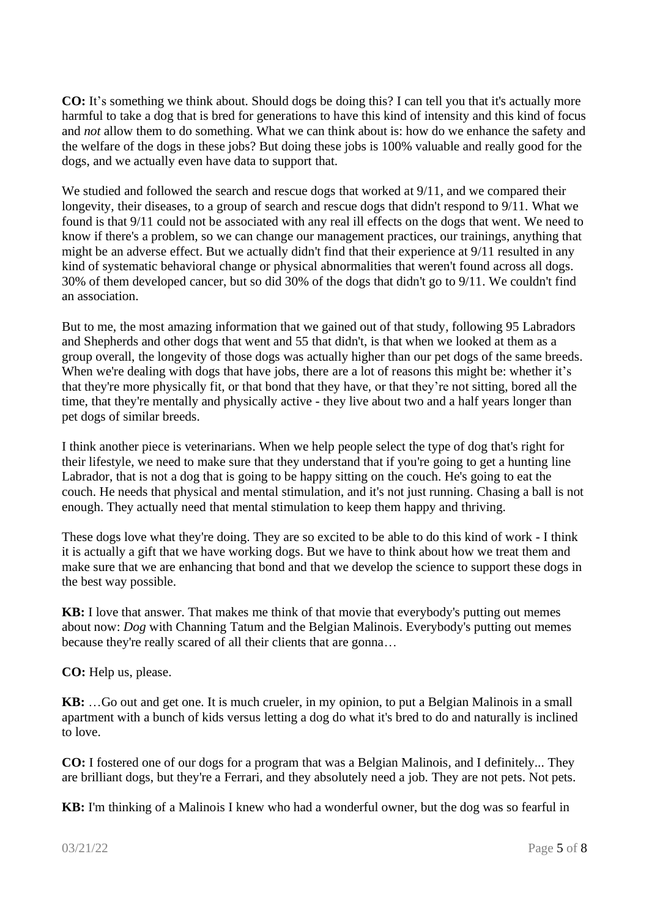**CO:** It's something we think about. Should dogs be doing this? I can tell you that it's actually more harmful to take a dog that is bred for generations to have this kind of intensity and this kind of focus and *not* allow them to do something. What we can think about is: how do we enhance the safety and the welfare of the dogs in these jobs? But doing these jobs is 100% valuable and really good for the dogs, and we actually even have data to support that.

We studied and followed the search and rescue dogs that worked at  $9/11$ , and we compared their longevity, their diseases, to a group of search and rescue dogs that didn't respond to 9/11. What we found is that 9/11 could not be associated with any real ill effects on the dogs that went. We need to know if there's a problem, so we can change our management practices, our trainings, anything that might be an adverse effect. But we actually didn't find that their experience at 9/11 resulted in any kind of systematic behavioral change or physical abnormalities that weren't found across all dogs. 30% of them developed cancer, but so did 30% of the dogs that didn't go to 9/11. We couldn't find an association.

But to me, the most amazing information that we gained out of that study, following 95 Labradors and Shepherds and other dogs that went and 55 that didn't, is that when we looked at them as a group overall, the longevity of those dogs was actually higher than our pet dogs of the same breeds. When we're dealing with dogs that have jobs, there are a lot of reasons this might be: whether it's that they're more physically fit, or that bond that they have, or that they're not sitting, bored all the time, that they're mentally and physically active - they live about two and a half years longer than pet dogs of similar breeds.

I think another piece is veterinarians. When we help people select the type of dog that's right for their lifestyle, we need to make sure that they understand that if you're going to get a hunting line Labrador, that is not a dog that is going to be happy sitting on the couch. He's going to eat the couch. He needs that physical and mental stimulation, and it's not just running. Chasing a ball is not enough. They actually need that mental stimulation to keep them happy and thriving.

These dogs love what they're doing. They are so excited to be able to do this kind of work - I think it is actually a gift that we have working dogs. But we have to think about how we treat them and make sure that we are enhancing that bond and that we develop the science to support these dogs in the best way possible.

**KB:** I love that answer. That makes me think of that movie that everybody's putting out memes about now: *Dog* with Channing Tatum and the Belgian Malinois. Everybody's putting out memes because they're really scared of all their clients that are gonna…

**CO:** Help us, please.

**KB:** …Go out and get one. It is much crueler, in my opinion, to put a Belgian Malinois in a small apartment with a bunch of kids versus letting a dog do what it's bred to do and naturally is inclined to love.

**CO:** I fostered one of our dogs for a program that was a Belgian Malinois, and I definitely... They are brilliant dogs, but they're a Ferrari, and they absolutely need a job. They are not pets. Not pets.

**KB:** I'm thinking of a Malinois I knew who had a wonderful owner, but the dog was so fearful in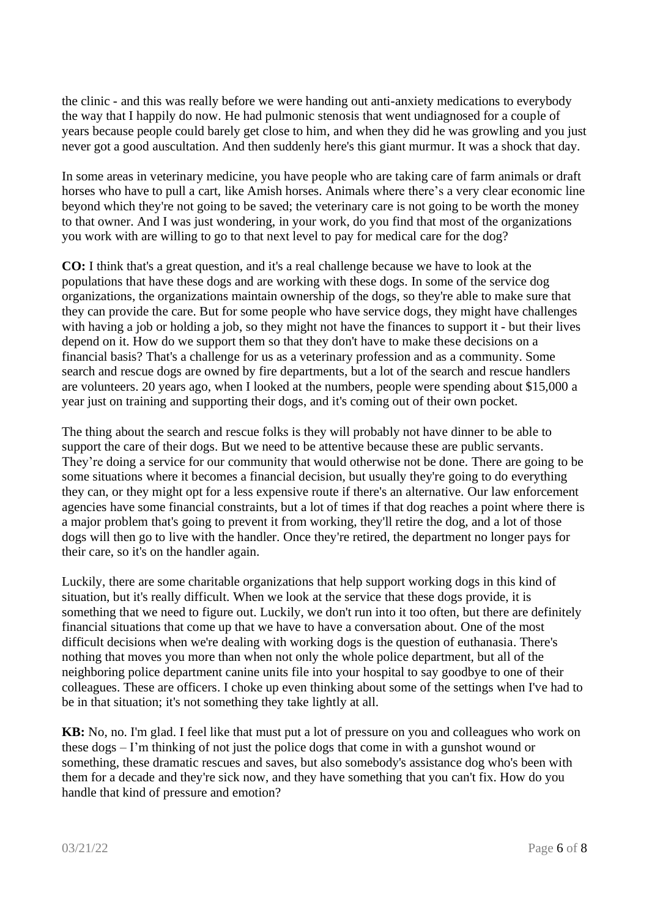the clinic - and this was really before we were handing out anti-anxiety medications to everybody the way that I happily do now. He had pulmonic stenosis that went undiagnosed for a couple of years because people could barely get close to him, and when they did he was growling and you just never got a good auscultation. And then suddenly here's this giant murmur. It was a shock that day.

In some areas in veterinary medicine, you have people who are taking care of farm animals or draft horses who have to pull a cart, like Amish horses. Animals where there's a very clear economic line beyond which they're not going to be saved; the veterinary care is not going to be worth the money to that owner. And I was just wondering, in your work, do you find that most of the organizations you work with are willing to go to that next level to pay for medical care for the dog?

**CO:** I think that's a great question, and it's a real challenge because we have to look at the populations that have these dogs and are working with these dogs. In some of the service dog organizations, the organizations maintain ownership of the dogs, so they're able to make sure that they can provide the care. But for some people who have service dogs, they might have challenges with having a job or holding a job, so they might not have the finances to support it - but their lives depend on it. How do we support them so that they don't have to make these decisions on a financial basis? That's a challenge for us as a veterinary profession and as a community. Some search and rescue dogs are owned by fire departments, but a lot of the search and rescue handlers are volunteers. 20 years ago, when I looked at the numbers, people were spending about \$15,000 a year just on training and supporting their dogs, and it's coming out of their own pocket.

The thing about the search and rescue folks is they will probably not have dinner to be able to support the care of their dogs. But we need to be attentive because these are public servants. They're doing a service for our community that would otherwise not be done. There are going to be some situations where it becomes a financial decision, but usually they're going to do everything they can, or they might opt for a less expensive route if there's an alternative. Our law enforcement agencies have some financial constraints, but a lot of times if that dog reaches a point where there is a major problem that's going to prevent it from working, they'll retire the dog, and a lot of those dogs will then go to live with the handler. Once they're retired, the department no longer pays for their care, so it's on the handler again.

Luckily, there are some charitable organizations that help support working dogs in this kind of situation, but it's really difficult. When we look at the service that these dogs provide, it is something that we need to figure out. Luckily, we don't run into it too often, but there are definitely financial situations that come up that we have to have a conversation about. One of the most difficult decisions when we're dealing with working dogs is the question of euthanasia. There's nothing that moves you more than when not only the whole police department, but all of the neighboring police department canine units file into your hospital to say goodbye to one of their colleagues. These are officers. I choke up even thinking about some of the settings when I've had to be in that situation; it's not something they take lightly at all.

**KB:** No, no. I'm glad. I feel like that must put a lot of pressure on you and colleagues who work on these dogs – I'm thinking of not just the police dogs that come in with a gunshot wound or something, these dramatic rescues and saves, but also somebody's assistance dog who's been with them for a decade and they're sick now, and they have something that you can't fix. How do you handle that kind of pressure and emotion?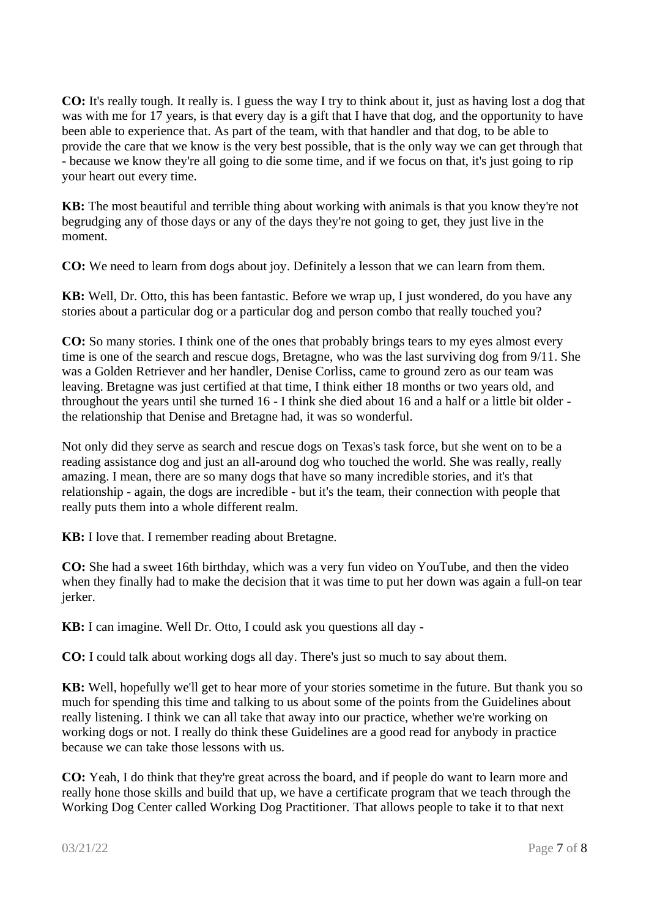**CO:** It's really tough. It really is. I guess the way I try to think about it, just as having lost a dog that was with me for 17 years, is that every day is a gift that I have that dog, and the opportunity to have been able to experience that. As part of the team, with that handler and that dog, to be able to provide the care that we know is the very best possible, that is the only way we can get through that - because we know they're all going to die some time, and if we focus on that, it's just going to rip your heart out every time.

**KB:** The most beautiful and terrible thing about working with animals is that you know they're not begrudging any of those days or any of the days they're not going to get, they just live in the moment.

**CO:** We need to learn from dogs about joy. Definitely a lesson that we can learn from them.

**KB:** Well, Dr. Otto, this has been fantastic. Before we wrap up, I just wondered, do you have any stories about a particular dog or a particular dog and person combo that really touched you?

**CO:** So many stories. I think one of the ones that probably brings tears to my eyes almost every time is one of the search and rescue dogs, Bretagne, who was the last surviving dog from 9/11. She was a Golden Retriever and her handler, Denise Corliss, came to ground zero as our team was leaving. Bretagne was just certified at that time, I think either 18 months or two years old, and throughout the years until she turned 16 - I think she died about 16 and a half or a little bit older the relationship that Denise and Bretagne had, it was so wonderful.

Not only did they serve as search and rescue dogs on Texas's task force, but she went on to be a reading assistance dog and just an all-around dog who touched the world. She was really, really amazing. I mean, there are so many dogs that have so many incredible stories, and it's that relationship - again, the dogs are incredible - but it's the team, their connection with people that really puts them into a whole different realm.

**KB:** I love that. I remember reading about Bretagne.

**CO:** She had a sweet 16th birthday, which was a very fun video on YouTube, and then the video when they finally had to make the decision that it was time to put her down was again a full-on tear jerker.

**KB:** I can imagine. Well Dr. Otto, I could ask you questions all day -

**CO:** I could talk about working dogs all day. There's just so much to say about them.

**KB:** Well, hopefully we'll get to hear more of your stories sometime in the future. But thank you so much for spending this time and talking to us about some of the points from the Guidelines about really listening. I think we can all take that away into our practice, whether we're working on working dogs or not. I really do think these Guidelines are a good read for anybody in practice because we can take those lessons with us.

**CO:** Yeah, I do think that they're great across the board, and if people do want to learn more and really hone those skills and build that up, we have a certificate program that we teach through the Working Dog Center called Working Dog Practitioner. That allows people to take it to that next